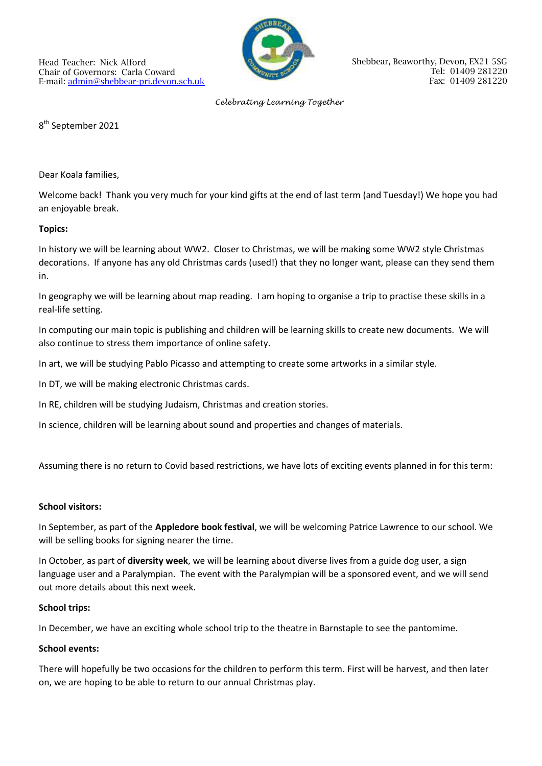

#### *Celebrating Learning Together*

8<sup>th</sup> September 2021

Dear Koala families,

Welcome back! Thank you very much for your kind gifts at the end of last term (and Tuesday!) We hope you had an enjoyable break.

## **Topics:**

In history we will be learning about WW2. Closer to Christmas, we will be making some WW2 style Christmas decorations. If anyone has any old Christmas cards (used!) that they no longer want, please can they send them in.

In geography we will be learning about map reading. I am hoping to organise a trip to practise these skills in a real-life setting.

In computing our main topic is publishing and children will be learning skills to create new documents. We will also continue to stress them importance of online safety.

In art, we will be studying Pablo Picasso and attempting to create some artworks in a similar style.

In DT, we will be making electronic Christmas cards.

In RE, children will be studying Judaism, Christmas and creation stories.

In science, children will be learning about sound and properties and changes of materials.

Assuming there is no return to Covid based restrictions, we have lots of exciting events planned in for this term:

### **School visitors:**

In September, as part of the **Appledore book festival**, we will be welcoming Patrice Lawrence to our school. We will be selling books for signing nearer the time.

In October, as part of **diversity week**, we will be learning about diverse lives from a guide dog user, a sign language user and a Paralympian. The event with the Paralympian will be a sponsored event, and we will send out more details about this next week.

### **School trips:**

In December, we have an exciting whole school trip to the theatre in Barnstaple to see the pantomime.

# **School events:**

There will hopefully be two occasions for the children to perform this term. First will be harvest, and then later on, we are hoping to be able to return to our annual Christmas play.